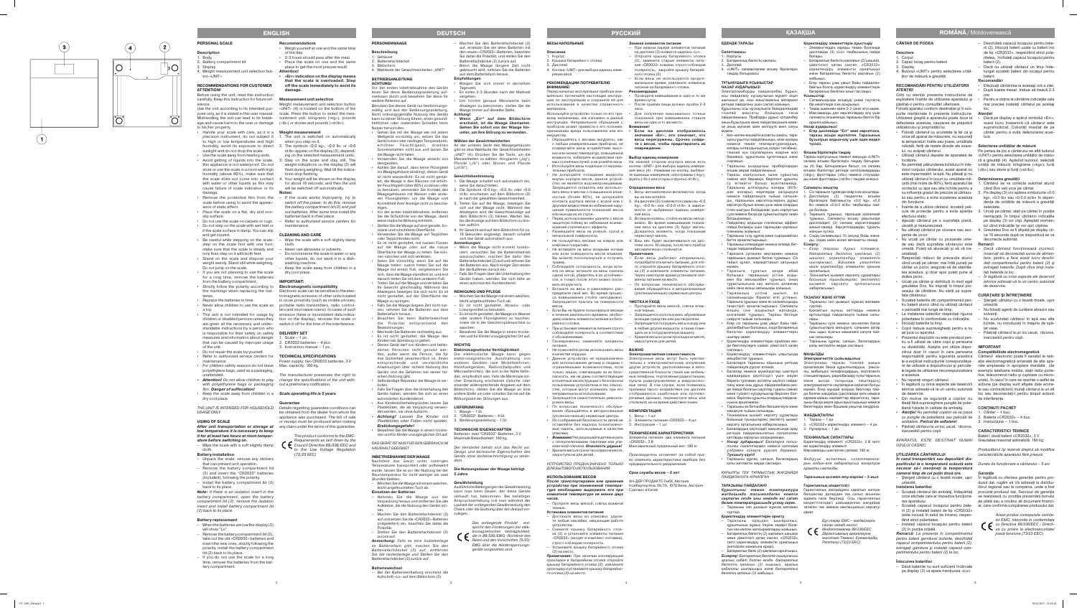## **CÂNTAR DE PODEA**

### **Descriere** 1. Corpul

- 2. Capac locaş pentru baterii
- 3. Display
- 4. Butonul «UNIT» pentru selectarea unităţilor de măsură a greutăţii

## **RECOMANDĂRI PENTRU UTILIZATORII ATENŢIE!**

Cititi cu atentie prezenta instructiune de exploatare înainte de utilizarea aparatului şi păstrati-o pentru consultări ulterioare.

Folosiţi aparatul conform destinaţiei şi în sco purile menţionate în prezenta instrucţiune. **Atenţie!** defectarea acestuia, cauzarea de prejudicii

cată (mai mare de 80%), feriţi aparatul de 1. Cântarul se va conecta automat atunci când Dvs veti urca pe cântar.

responsabilă pentru siguranţa acestora Cântarul electronic poate fi sensibil la radi le-a explicat instrucțiunile corespunzătoa- ația electromagnetică emanată de alte apare de utilizare a dispozitivului şi pericole - rate amplasate in apropiere imediată (de le legate de utilizarea necorespunzatoare exemplu telefoane mobile, stații radio porta-• Nu reparaţi singuri cântarul. • În legătură cu orice aspecte ale deservirii acţiune (pe display sunt afişate date erona tehnice adresaţi-vă la un centru autorizat te sau contradictorii) mutaţi cântarul la un alt tive, telecomenzi radio şi cuptoare cu micro unde). În cazul în care se resimte o astfel de loc sau deconectați-l pentru timpul acțiunii

- utilizatorului şi proprietății lui.<br>▪ Folositi cântarul cu acuratete la fel ca si orice alt aparat de măsurare, nu expuneti la temperaturi înalte sau joase, umiditate ridicată, feriţi de razele directe ale soare - **Selectarea unităţilor de măsură** lui, nu scăpați cântarul.
- Utilizați cântarul departe de aparatele de «UNIT» pentru selectarea unităților de măsuîncălzire.
- Nu permiteți pătrunderea lichidului în inte- unități de măsură: kilograme («kg»), funți riorul corpului cântarului, acest aparat nu («lb») sau stone și funți («st:lb»). este impermeabil la apă. Nu plăsați și nu utilizaţi cântarul în locuri cu umiditate ridi - **Determinarea greutăţii** contactul cu apa sau alte lichide pentru a lui sau pentru a evita scoaterea acestuia din functiune.
- Înainte de a utiliza cântarul, scoateţi peli efectului static.
- Aşezaţi cântarul pe o suprafaţa plană, uscată şi nealunecoasă.
- Nu utilizaţi cântarul pe covoare sau aco perire de covor.
- Nu urcaţi pe cântar cu picioarele ume de sau dacă suprafaţa cântarului este **Remarci** : umatizati.
- Respectaţi măsuri de precauţie atunci când urcați pe cântar: mai întâi puneți pe cântar un picior, asiguraţi-vă de stabilita tea acestuia, şi doar apoi puteţi pune al doilea picior.
- Urcaţi pe cântar şi distribuiţi în mod egal greutatea Dvs. Nu mişcaţi în timpul pro cesului de cântărire. Nu săriţi pe supra fata cântarului
- Scoateţi bateriile din compartimentul pen tru baterii atunci când nu utilizati cântarul o perioadă mai lungă de timp.
- La instalarea bateriilor respectati riguros polaritatea în conformitate cu indicaţiile.
- Înlocuiti bateriile la timp. • Copiii trebuie supravegheaţi pentru a nu
- se juca cu aparatul. • Prezentul dispozitiv nu este prevăzut pen -
- tru a fi utilizat de către copii şi persoane cu dizabilităţi. Aceştia pot utiliza dispo - **IMPORTANT** zitivul doar în cazuri în care persoana **Compatibilitate electromagnetică**
- a acestuia.<br>Nu reparați singuri cântarul.
- de deservire.
- Din motive de siguranţă a copiilor nu de interferenţe. lăsați fără supraveghere pungile de polietilenă folosite în calitate de ambalaj.
- *• Atenţie! Nu permiteţi copiilor să se joace*  1. Cântar 1 buc. *cu pungile de polietilenă sau peliculă de*  2. Bateria «CR2032» – 4 buc. *ambalare. Pericol de asfixiere!*
- Păstrați cântarul la un loc uscat, răcoros, inaccesibil pentru copii.

– Dacă bateriile nu sunt suficient încărcate pe display (3) va apare mentiunea «Lo».

Pe partea de jos a cântarului se află butonul ră a greutății (4). Apăsînd butonul, selectați

Utilizarea greşită a aparatului poate duce la • Dacă pe display a apărut simbolul «Err», acest lucru înseamnă că cântarul este supraîncărcat. Coborâți imediat de pe cântar pentru a evita deteriorarea aces tuia.

- nu influența gradul de precizie al cântaru- 2. Pe display (3) vor apărea simbolurile «0.0 kg», «0.0 lb» sau «0:0.0 st:lb» în depen dența de unitățile de măsură a greutății selectate.
- cula de protecție pentru a evita apariția 3. Urcați pe cântar, stați pe cântar în poziție nemişcată. În timpul cântăririi indicaţiile pe display (3) vor clipi. Aşteptaţi momen tul când indicatiile îsi vor opri clipirea.
	- 4. Greutatea Dvs va fi afişată pe display circa 10 secunde după ce dispozitivul se va deconecta automat.

## *APARATUL ESTE DESTINAT NUMAI*  Greutatea maximal admisibilă: 180 kg *UZULUI CASNIC*

## **UTILIZAREA CÂNTARULUI**

*În cazul transportării sau depozitării dis pozitivului la o temperatură scăzută este Durata de funcţionare a cântarului – 5 ani necesar să-l menţineţi la temperatura camerei timp de cel puţin două ore.*

– Ştergeţi cântarul cu o lavetă moale, uşor În legătură cu oferirea garanţiei pentru pro umezită.

**Instalarea bateriilor**

- rea aparatului.
- rii (2) şi instalaţi baterii de tip «CR2032» (este inclusă în setul de livrare), respec tând strict polaritatea.
- Instalaţi capacul locaşului pentru baterii (2) în poziţia iniţială.
- umedă. Puteţi să alunecaţi şi să vă tra *– Dacă cântarul funcţionează incorect, încercaţi să deconectaţi sursa de alimen tare, pentru a face acest lucru deschi deţi compartimentul pentru baterii (2) şi extrageţi bateriile. După cîtva timp insta laţi bateriile la loc.*
	- *– În legătură cu orice aspecte ale deservirii tehnice adresaţi-vă la un centru autorizat de deservire.*

*Remarcă: La prezenţa în compartimentul pentru baterii garniturei izolante, deschideţi capacul compartimentului pentru baterii (2), extrageţi garnitura şi instalaţi capacul com partimentului pentru baterii (2) la loc.*

## **Înlocuirea bateriilor**

- Deschideţi capacul locaşului pentru bate rii (2), înlocuiţi baterii uzate cu baterii noi de tip «CR2032», respectând strict pola ritatea, închideți capacul locașului pentru baterii (2).
- Dacă nu utilizaţi cântarul un timp înde lungat scoateţi baterii din locaşul pentru baterii.

## **Recomandări**

- Efectuaţi cântărirea la aceeaşi oră a zilei. • După luarea mesei trebue să treacă 2-3 ore.
- Pentru a obtine la cântărire indicațiile cele mai precise instalaţi cântarul pe acelaşi loc.

– Scoateţi cântarul din ambalaj, îndepărtaţi procurat produsul dat. Serviciul de garanţie orice etichete care ar împiedica funcţiona - se realizează cu condiţia prezentării bonului – Scoateţi capacul locaşului pentru bate - ar, care confirmă cumpărarea produsului dat. dusul dat, rugăm să Vă adresaţi la distribu itorul regional sau la compania, unde a fost de plată sau a oricărui alt document financi -



## **CURĂŢARE ŞI ÎNTREŢINERE**

- Ştergeţi cântarul cu o lavetă moale, uşor umezită. – Nu folosiţi agenţi de curăţare abrazivi sau
- solventi. – Nu scufundaţi cântarul în apă sau alte
- lichide, nu introduceţi în maşina de spă lat vase
- Păstraţi cântarul la un loc uscat, răcoros, inaccesibil pentru copii.

Таразыға тұрыңыз, таразыда қозғалмай тұрыңыз. Салмақты өлшеу уақытында дисплейдегі (3) салмақ көрсетілімдері жанып-сөнеді. Көрсетілімдердің тұрақты

## **CONŢINUTI PACHET**

- 
- 
- 3. Instrucţiune 1 buc.

## **CARACTERISTICI TEHNICE**

Baterii: două baterii «CR2032», 3 V

*Producătorul îşi rezervă dreptul să modifice caracteristicile aparatului fără preaviz.*

## **Garanţie**

*Acest produs corespunde cerinţe lor EMC, întocmite în conformitate cu Directiva 89/336/EEC i Directi va cu privire la electrosecuritate/ joasă tensiune (73/23 EEC).*

**ЕДЕНДІК ТАРАЗЫ**

**Сипаттамасы** 1. Корпусы

2. Батареялық бөліктің қақпағы

3. Дисплей

4. «UNIT» салмақ/көлем өлшеу бірліктерін

таңдау батырмасы **ТҰТЫНУШЫҒА ҰСЫНЫСТАР НАЗАР АУДАРЫҢЫЗ!**

Электроприборды пайдаланбас бұрын, осы пайдалану нұсқаулығын мұқият оқып шығыңыз да, оны анықтамалық материал ретінде пайдалану үшін сақтап қойыңыз. Құрылғыны осы нұсқаулықта баяндалғандай тікелей мақсаты бойынша ғана пайдаланыңыз. Приборды дұрыс қолданбау оның бұзылуына және пайдаланушыға неме се оның мүлкіне зиян келтіруге әкеп соғуы мүмкін.<br>• Кез- келген өлшейтін аспапты сияқты, таразыны ұқыпты пайдаланыңыз, оған жоғары немесе төмен температуралардын жоғары ылғалдылықтың әсерін тигізбеңіз, тікелей күн сәулелерінің әсеріне жол

соқпаңыз.

• Таразыны қыздырғыш приборлардан

алшақ жерде пайдаланыңыз.

• Таразы корпусының ішіне сұйықтың тиюіне жол бермеңіз, берілгент құрылғы су өтпейтін болып есептелмейді Таразыны ылғалдығы жоғары (80% дан жоғары) жерлерде қалдыруға немесе пайдалануға тыйым салына ды, таразының көрсеткіштерінің дұрыс көрсетуін бұзып алмас үшін және олардың істен шығуын болдырмас үшін корпустың суға немесе басқа да сұйықтықтарға тиюін

болдырмаңыз.

• Пайдалану алдында статикалық эффект пайда болмауы үшін таразыдан қорғаныс

пленканы жойыңыз.

• Таразыны түзу, құрғақ және сырғымайтын

бетте орналастырыңыз.

• Таразыңы кілемдерде немесе кілемді бет -

терде пайдаланбаңыз.

• Таразыға суланған аяқтармен немесе таразының дымқыл бетіне тұрмаңыз. Сіз тайып құлап, жарақаттанып қалуыңыз

мүмкін.

- Протрите весы мягкой, слегка влажно тканью. **Установка элементов питания**
- Достаньте весы из упаковки, удали те любые наклейки, мешающие работе устройства.
- Снимите крышку батарейного отсе ка (2) и установите элементы питания «CR2032» (входят в комплект поставки), строго соблюдая полярность.
- Установите крышку батарейного отсека (2) на место.

• Таразыға тұратын кезде абай болыңыз: таразының үстіне алды мен бір аяғыңызбен тұрыңыз, оның тұрақтылығына көз жеткізіп алғаннан кейін ғана екінші аяғыңызды қойыңыз. • Таразының үсітне шығып, өз салмағыңызды біркелкі етіп ұстаңыз. Таразыға тұрыңыз және өз салмағыңызды теңестіріп орналастырыңыз. Салмақты өлшеу іске асырылып жатқанда, қозғалмай тұрыңыз, Таразы бетінде

**Примечание:** При наличии изолирующе прокладки в батарейном отсеке откройте крышку батарейного отсека (2), извлеките прокладку и установите крышку батарейно го отсека (2) на место.

секіруге тыйым салынады.

• Егер сіз таразыны ұзақ уақыт бойы пай даланбайтын болсаңыз, онда батареялық бөліктен қоректендіру элементтерін

шығару қажет.

• Қоректендіру элементтерін орнатқан кез де белгілеулерге сәйкес үйектілікті қатаң

сақтаңыз.

• Қоректендіру элементтерін уақытында

айырбастап тұрыңыз.

• Балаларға таразыны ойыншық ретінде

пайдалануға рұқсат етпеңіз.

• Балалар немесе мүмкіндіктері шектеулі

маса, берілген құрылғы олардың пайдала -

нуына арналмаған.

• Таразыны өз бетіңізбен бөлшектеуге және

жөндеуге тыйым салынады.

- вать весы в местах с повышенной влаж- 1. Весы автоматически включаются, когда вы на них встаёте.
	- На лисплее (3) появляются символы «0.0 kg», «0.0 lb» или «0:0.0 st:lb», в зависимости от выбранных единиц измере ния веса.
	- вижно. Во время взвешивания показа ния веса на дисплее (3) будут мигать. Дождитесь момента, когда показания перестанут мигать.
	- 4. Ваш вес будет высвечиваться на дис плее около 10 секунд, после чего прибор автоматически отключится.
	- : *–* Если весы работают неправильно, попробуйте отключить питание, для это го откройте крышку батарейного отсе ка (2) и извлеките элементы питания Через некоторое время установите эле менты питания на место.
	- *–* По вопросам технического обслужи вания обращайтесь в авторизованные (уполномоченные) сервисные центры.

• Техникалық қызмет көрсету сұрақтары

бермеңіз, құрылғыны құлатпаңыз және Таразы корпусының төменгі жағында «UNIT»

көрсету орталығына хабарласыңыз.

ретінде пайдаланылатын полиэтилен қаптарды қараусыз қалдырмаңыз.

тдірмен ойнауға рұқсат бермеңі

*Тұншығу қаупі!*

қолы жетпейтін жерде сақтаңыз. *ҚҰРЫЛҒЫ ТЕК ТҰРМЫСТЫҚ ЖАҒДАЙДА* 

*ПАЙДАЛАНУҒА АРНАЛҒАН* **ТАРАЗЫНЫ ПАЙДАЛАНУ**

*Құрылғыны төмен температура жағдайында тасымалдаған немесе*

*бөлме температурасында ұстау керек.*

### **Beschreibung** . Gehäuse

- 2. Batteriefachdeckel **Bildschirm**
- 4. Wahltaste der Gewichtseinheiten "UNIT"

сүртіңіз.

**Қоректендіру элементтерін орнату** – Таразыны ораудан шығарыңыз, құрылғының жұмыс ітеуіне кедергі бола тын кез-келген жапсырмаларды жойыңыз. – Батареялық бөліктің (2) қақпағын шешіңіз және үйектілікті қатаң сақтап, «CR2032» типті қоректендіру элементін орнатыңыз

(жеткізілім жинағына кіреді).

– Батареялық бөлік (2) қақпағын орнатыңыз. *Ескерту: Батареялық бөлікте оқшаулағыш аралық қабат болған кезде, батареялық бөліктің қапағын (2) ашыңыз, аралық қабатты шығарыңыз және батареялық* 

*бөліктің қапағын (2) жабыңыз.*

**Қоректендіру элементтерін ауыстыру** – Элементтердің заряды төмен болғанда дисплейде (3) «Lo» таңбасының пайда

болады.

– Батареялық бөліктің қақпағын (2) шешіңіз, үйектілікті қатаң сақтап, «CR2032» қоректендіру элементін орнатыңыз және батареялық бөліктің қақпағын (2)

жабыңыз.

– Егер таразы ұзақ уақыт бойы пайдалан байтын болса, қоректендіру элементтерін батареялық бөліктен алып тастаңыз.

**Ұсыныстар**

• Салмағыңызды өлшеуді үнемі тәуліктің бір мезігілінде іске асырыңыз.

адамдардың қауіпсіздігі үшін жауап станциялардың, радиобасқару пульттарының беретін тұлғамен аспапты қауіпсіз пайда - және қысқа толқынды пештердің) лану және оны дұрыс пайдаланбаған кез - электромагниттік сәулелеріне сезімтал болуы де пайда болатын қауіптер туралы сәйкес мүмкін. Егер мұндай әсердің беогілері пай және түсінікті нұсқаулықтар берілген бол - да болған жағдайда (дисплейде қате немесе

• Тамақ ішкеннен кейін 2-3 сағат өтуі керек. • Максималды дәл көрсетілімдер алу үшін салмақты өлшегенде таразыны белгілі бір

орынға қойыңыз. **Назар аударыңыз!**

**• Егер дисплейде "Err" мәні көрсетілсе, таразы асыра жүктелген. Таразының бұзылуын алдын-алу үшін одан жедел** 

бойынша туындыгерлес (өкілетті) қызмет 1. Таразы – 1 дн.

**түсіңіз.**

**Өлшем бірліктерін таңдау**

• Балалардың қауіпсіздігі мақсатында орау 3. Нұсқаулық – 1 дн.

*• Назар аударыңыз! Балаларға полиэ -* Қоректендіру элементі: «CR2032», 3 В типті

салмақ өлшем бірліктерін таңдау батырма сы (4) бар. Батырмасын басып, сіз салмақ өлшем бірліктері ретінде килограммдарды («kg»), фунттарды («lb») немесе стоундар ды және фунттарды («st:lb») таңдай аласыз.

*тилен пакеттермен немесе қаптама*  екі қоректендіру элементі

• Таразыны құрғақ, салқын, балалардың *Өндіруші аспаптың сипаттамала -*

**Салмақты анықтау**

Nachdem das Gerät unter niedrigen dern. Temperaturen transportiert oder aufbewahrt wurde, lassen Sie es vor der Nutzung bei der **Die Nutzungsdauer der Waage beträgt**<br>Raumtemperatur für nicht weniger als zwei 5 **Jahre** Raumtemperatur für nicht weniger als zwei 5 Jahre Stunden bleiben.

1. Сіз таразыға тұрғанда олар іске қосылады. Дисплейде (3) таңдалған өлшем бірліктерге байланысты «0.0 kg», «0.0 lb» немесе «0:0.0 st:lb» таңбалары пай -

да болады.

*сақтаған кезде оны кемінде екі сағат* адамға ғана берiледi. Осы гарантиялық

– Таразыны сәл дымқыл жұмсақ матамен төлеген чек немесе квитанциясын көрсетуi

жануын күтіңіз.

4. Сіздің салмағыңыз 10 секунд бойы жана ды, содан кейін аспап автоматты сөнеді.

**Ескерту:**

*– Егер таразы дұрыс істемесе, батареялық бөліктің қақпағын (2) шешіңіз қоректендіру элементін шығарыңыз. Біршама уақыттан кейін қоретендіру элементін орнына* 

*орнатыңыз.*

- Tageszeit • Es sollen 2-3 Stunden nach der Mahlzeit vergeher
- Um höchst genaue Messwerte beim Abwiegen zu bekommen, stellen Sie die Waage immer auf dieselbe Stelle.

*– Техникалық қызмет көрсету сұрақтары бойынша туындыгерлес (өкілетті) қызмет көрсету орталығына* 

*хабарласыңыз.* **ТАЗАЛАУ ЖӘНЕ КҮТІМІ**

– Таразыны сәл дымқыл жұмсақ матамен

сүртіңіз.

– Қажайтын жуғыш заттарды немесе еріткіштерді пайдалануға тыйым салы -

### **Gewichtsbestimmung** 1. Die Waage schaltet sich automatisch ein

нады.

– Таразыны суға немесе кез-келген басқа сұйықтықтарға матыруға, сонымен қатар оны ыдыс жуатын машинаға салуға тый -

ым салынады.

– Таразыны құрғақ, салқын, балалардың қолы жетпейтін жерде сақтаңыз.

**МАҢЫЗДЫ**

**Электрмагниттік сыйымдылық**

- wenn Sie darauf treten. 2. Die Symbole «0.0 kg», «0.0 lb» oder «0:0
- st:lb» erscheinen auf dem Bildschirm (3) je nach der gewählten Gewichtseinheit. Treten Sie auf die Waage, bewegen Sie
- sich auf der Waage nicht. Während des Abwiegens wird die Gewichtsanzeige auf dem Bildschirm (3) blinken. Warten Sie, bis die Anzeige auf dem Bildschirm zu blin ken aufhört.
- 4. Ihr Gewicht wird auf dem Bildschirm für ca. 10 Sekunden angezeigt, danach schaltet sich das Gerät automatisch aus.

Электронды таразы тікелей жақын орналасқан басқа құрылғылардың (мыса лы, мобильдік телефондардың, портативтік

қарама-қайшы мәліметтер көрсетілсе), тара зыны басқа жерге орын ауыстырыңыз немесе бөгеттердің көзін біршама уақытқа сөндіріңіз.

**ЖАБДЫҚТАЛУЫ**

2. «CR2032» қоректендіру элементі – 4 дн.

**ТЕХНИКАЛЫҚ СИПАТТАРЫ**

Максималды шектелген салмақ: 180 кг.

l. Waage – 1 St 2. "CR2032"-Batterien – 4 St.

*рын алдын-ала хабаралаусыз өзгертуге* 

*құқықты сақтайды.*

*Таразының қызмет ету мерзімі – 5 жыл*

**Гарантиялық мiндеттiлiгi**

Гарантиялық жағдайдағы қаралып жатқан бөлшектер дилерден тек сатып алынған мiндеттiлiгiндегi шағымдалған жағдайда

қажет.

*Бұл тауар ЕМС – жағдайларға сәйкес келедi негiзгi Мiндеттемелер 89/336/EEC Дерективаның ережелерiне енгiзiлген Төменгi Ережелердiң Реттелуi (73/23 EEC)*

4. Weight measurement unit selection button «UNIT»

**Қазақша**

5

## **ВЕСЫ НАПОЛЬНЫЕ**

- **Описание** 1. Корпус
- 2. Крышка батарейного отсека
- 3. Дисплей 4. Кнопка «UNIT» для выбора единиц изме
- рения веса

-

## **РЕКОМЕНДАЦИИ ПОТРЕБИТЕЛЮ ВНИМАНИЕ!**

THE UNIT IS INTENDED FOR HOUSEHOLD Details regarding guarantee conditions can USAGE ONLY

- Перед началом эксплуатации прибора вни мательно прочитайте настоящую инструк цию по эксплуатации и сохраните её для использования в качестве справочного материала.
- мому назначению, как изложено в данной инструкции. Неправильное обращение с прибором может привести к его поломке, причинению вреда пользователю или его **• Если на дисплее отобразилось**  имуществу.
- Обращайтесь с весами аккуратно, как с любым измерительным прибором, не подвергайте весы воздействию высо ких или низких температур, повышенной влажности, избегайте воздействия пря - **Выбор единиц измерения**
- Используйте весы подальше от нагрева тельных приборов.
- Не допускайте попадания жидкости внутрь корпуса весов, данное устрой ство не является водонепроницаемым. Запрещается оставлять или использо ностью (более 80%), не допускайте контакта корпуса весов с водой или с другими жидкостями во избежание нару шения правильности показаний весов или выхода их из строя.
- Перед использованием удалите с весов 3. Встаньте на весы, стойте на весах неподзащитную плёнку во избежание возник новения статического эффекта.
- Размещайте весы на ровной, сухой и нескользкой поверхности. • Не пользуйтесь весами на коврах или
- ковровых покрытиях. • Не вставайте на весы мокрыми ногами
- или если поверхность весов влажная. **Примечания** Вы можете поскользнуться и получить травму.
- Соблюдайте осторожность, когда вста ете на весы: встаньте на весы сначала одной ногой, убедитесь в их устойчиво сти, и только после этого можно поста вить вторую ногу.
- Встаньте на весы и равномерно рас пределите свой вес. Во время процес са взвешивания стойте неподвижн Запрещается прыгать на поверхности
- весов. • Если Вы не будете пользоваться весами в течение длительного времени, необходимо извлечь элементы питания из батарейного отсека.
- При установке элементов питания строго соблюдайте полярность в соответствии с обозначениями. • Своевременно заменяйте элементы
- питания.
- Не позволяйте детям использовать весы в качестве игрушки. • Данное устройство не предназначено
- для использования детьми и людьми с неправильном использовании.
- Запрещается самостоятельно ремонти ровать весы.
- По вопросам технического обслужи вания обращайтесь в авторизованные (уполномоченные) сервисные центры.
- Из соображений безопасности детей не оставляйте без надзора полиэтилено- 3. Инструкция - 1 шт.
- вые пакеты, используемые в качестве упаковки. **Внимание!** Не разрешайте детям играть с полиэтиленовыми пакетами или упа- «CR2032», 3 В ковочной пленкой. **Опасность удушья!** Максимальный предельный вес: 180 кг.
- Храните весы в сухом прохладном месте, недоступном для детей.
- precision instrument, do not subject it 1. The unit is switched on automatically when you step on it.
- humidity, avoid its exposure to direct 2. The symbols «0.0 kg», «0.0 lb» or «0:0 st:lb» appear on the display (3), depend ing on the selected measurement units.
	- weight indications on the display (3) will flash during weighing. Wait till the indica tions stop flashing.
- the scale does not come into contact 4. Your weight will be shown on the display for about 10 seconds, and then the unit
	- will be switched off automatically. **Notes:**
	- switch off the power; to do this, remove the battery compartment lid (2) and pul out batteries. After some time install the batteries back in their place.
	- *–* Refer to authorized service centers for maintenance.

the markings when replacing the bat-<br>
Electronic scale can be sensitive to the elec-• Never allow children to use the scale as portable radio transmitters, radio control-• This unit is not intended for usage by emission (false or inconsistent data indicachildren or disabled persons unless they tion on the display), relocate the scale or are given all the necessary and under - switch it off for the time of the interference. tromagnetic emission of other units located in close proximity (such as mobile phones, lers and microwave ovens). In cases of such

мых солнечных лучей и не роняйте весы. На нижней стороне корпуса весов есть кнопка «UNIT» для выбора единиц измере ния веса (4) . Нажимая на кнопку, выбери те единицы измерения: килограммы («kg»), фунты («lb») или стоуны и фунты(«st:lb»).

After unit transportation or storage at any claim under the terms of this guarantee. be obtained from the dealer from whom the appliance was purchased. The bill of sale or receipt must be produced when making

### УСТРОЙСТВО ПРЕДНАЗНАЧЕНО ТОЛЬКО предварительного уведомления. ДЛЯ БЫТОВОГО ИСПОЛЬЗОВАНИЯ

## **ИСПОЛЬЗОВАНИЕ ВЕСОВ**

**туре необходимо выдержать его при**  Сделано в Китае **комнатной температуре не менее двух часов.**

## **Замена элементов питания** – При низком заряде элементов питания

на дисплее (3) появится надпись «Lo». – Откройте крышку батарейного отсека (2), замените старые элементы пита ния «CR2032» новыми, строго соблюдая полярность, закройте крышку батарей ного отсека (2).

- Если весы не используются продол жительное время, извлеките элементы питания из батарейного отсека.
- **Рекомендации** • Проводите взвешивания в одно и то же
- время суток. • После приема пищи должно пройти 2-3 часа.
- Используйте устройство только по его пря- Для получения максимально точных показаний при взвешивании ставьте весы на одно и то же место. **Внимание!**
	- **значение «Err», это означает, что весы перегружены. Срочно сойди те с весов, чтобы предотвратить их повреждение.**

ограниченными возможностями, если других устройств, расположенных в непо только лицом, отвечающим за их безо - средственной близости (таких как мобиль пасность, им не даны соответствующие ные телефоны, портативные радиостанции, и понятные им инструкции о безопасном пульты радиоуправления и микроволно пользовании устройством и тех опасно- вые печи). В том случае, если появились стях, которые могут возникать при его признаки такого воздействия (на дисплее **Электромагнитная совместимость** Электронные весы могут быть чувстви тельны к электромагнитному излучению отображаются ошибочные или противо речивые данные), переместите весы или отключите их на время действия помех.

### **Определение веса**

**После транспортировки или хранения**  АН-ДЕР ПРОДАКТС ГмбХ, Австрия **устройства при пониженной темпера -** Нойбаугюртель 38/7А, 1070 Вена, Австрия

## **ROMANA** / Moldovenească

## **ЧИСТКА И УХОД**

- Протирайте весы мягкой, слегка влаж ной тканью.
- Запрещается использовать абразивны моющие средства или растворители.
- Запрещается погружать весы в воду или в любые другие жидкости, а также поме щать их в посудомоечную машину.
- Храните весы в сухом прохладном месте, недоступном для детей.

### **ВАЖНО**

### **КОМПЛЕКТАЦИЯ**

1. Весы – 1 шт. 2. Элементы питания «CR2032»– 4 шт.

## **ТЕХНИЧЕСКИЕ ХАРАКТЕРИСТИКИ**

Элементы питания: два элемента питания

Производитель оставляет за собой пра во изменять характеристики прибора без

## **Срок службы весов – 5 лет**

## **русски й**

4

## **PERSONENWAAGE**

## **BETRIEBSANLEITUNG**

**ACHTUNG!** Vor der ersten Inbetriebnahme des Geräts lesen Sie diese Bedienungsanleitung auf merksam durch und bewahren Sie diese für weitere Referenz auf.

Benutzen Sie dieses Gerät nur bestimmungs mäßig und laut der Bedienungsanleitung. Nicht ordnungsgemäße Nutzung des Geräts **Achtung!** kann zu seiner Störung führen, einen gesund- · Wenn "Err" auf dem Bildschirm heitlichen oder materiellen Schaden beim Nutzer hervorrufen.

- Gehen Sie mit der Waage wie mit jedem Meßgerät vorsichtig um, setzen Sie das Gerät hohen oder niedrigen Temperaturen, **Wählen der Gewichtseinheiten** die Waage nicht fallen.
- Verwenden Sie die Waage abseits von **Heizgeräter**
- Achten Sie darauf, dass keine Flüssigkeit ins Waagegehäuse eindringt, dieses Gerät ist nicht wasserdicht. Es ist nicht gestat tet, die Waage in den Räumen mit erhöh ter Feuchtigkeit (über 80%) zu lassen oder zu benutzen, vermeiden Sie Kontakt des Waagegehäuses mit Wasser oder ande ren Flüssigkeiten, um die Waage und Korrektheit ihrer Anzeige nicht zu beschä digen.
- Vor der ersten Inbetriebnahme, entfernen Sie die Schutzfolie von der Waage, damit keine statische Wirkung entsteht.
- Stellen Sie die Waage auf eine gerade, tro ckene und rutschfeste Oberfläche.
- Verwenden Sie die Waage auf Teppichen oder Teppichböden nicht.
- Es ist nicht gestattet, mit nassen Füssen **Anmerkungen:** auf die Waage oder auf die nasse Oberfläche der Waage zu treten. Sie kön nen rutschen und sich verletzen.
- Seien Sie vorsichtig, wenn Sie auf die Waage treten: zuerst treten Sie auf die Waage mit einem Fuß, vergewissern Sie sich, dass die Waage standfest ist, und erst
- danach treten Sie mit dem anderem Fuß. • Treten Sie auf die Waage und verteilen Sie Ihr Gewicht gleichmäßig. Während des Abwiegens bewegen Sie sich nicht. Es ist nicht gestattet, auf der Oberfläche der Waage zu springen.
- Falls Sie die Waage längere Zeit nicht nut zen, nehmen Sie die Batterien aus dem Batteriefach heraus.
- Beachten Sie beim Batteriewechsel die Polarität entsprechend den Bezeichnungen.
- Wechseln Sie Batterien rechtzeitig aus. • Es ist nicht gestattet, die Waage den
- Kindern als Spielzeug zu geben. • Dieses Gerät darf von Kindern und behin - **WICHTIG** derten Personen nicht genutzt wer - **Elektromagnetische Verträglichkeit** schen Nutzung gibt.
- Selbständige Reparatur der Waage ist ver boten.
- autorisierten Kundendienst.
- Aus Kindersicherheitsgründen lassen Sie Plastiktüten, die als Verpackung verwen det werden, nie ohne Aufsicht.
- *•*  **Achtung!** Lassen Sie Kinder mit Plastiktüten oder Folien nicht spielen. 3. Bedienungsanleitung - 1 St.
- **Erstickungsgefahr!** • Bewahren Sie die Waage in einem trocke - **TECHNISCHE EIGENSCHAFTEN** nen und für Kinder unzugänglichen Ort auf.

erhöhter Feuchtigkeit, direkten An der unteren Seite des Waagegehäuses Sonnenstrahlen nicht aus und lassen Sie gibt es eine Wahltaste der Gewichtseinheiten "UNIT" (4). Drücken Sie die Taste, um die Messeinheiten zu wählen: Kilogramm ("kg"), Pfunde ("lb") oder Stones und Pfunde ("st:lb").

DAS GERÄT IST NUR FÜR DEN GEBRAUCH IM HAUSHALT GEEIGNET

## **INBETRIEBNAHME DER WAAGE**

- Wischen Sie die Waage mit einem weichen, leicht angefeuchteten Tuch ab. **Einsetzen der Batterien**
- Aufkleber, die die Nutzung des Geräts stö ren.

– Machen Sie den Batteriefachdeckel (2) auf und setzen Sie die «CR2032»-Batterien (mitgeliefert) ein, beachten Sie dabei die

Polarität.

– Stellen Sie den Batteriefachdeckel (2)

zurück auf.

**Anmerkung:** Falls es eine Isolierbeilage im Batteriefach gibt, machen Sie den Batteriefachdeckel (2) auf, entfernen Sie die Isolierbeilage und Stellen Sie den

Batteriefachdeckel (2) zurück auf.

**Batteriewechsel**

– Bei der Batterieentladung erscheint die Aufschrift «Lo» auf dem Bildschirm (3).

## – Machen Sie den Batteriefachdeckel (2) auf, ersetzen Sie die alten Batterien mit den neuen «CR2032»-Batterien, beachten Sie dabei die Polarität, und stellen Sie den Batteriefachdeckel (2) zurück auf.

– Wenn die Waage längere Zeit nicht gebraucht wird, nehmen Sie die Batterien aus dem Batteriefach heraus. **Empfehlungen**

## • Wiegen Sie sich immer in derselben

den, außer wenn die Person, die für Die elektronische Waage kann gegen ihre Sicherheit verantwortlich ist, ihnen elektromagnetische Ausstrahlung von entsprechende und verständliche anderen Geräten (wie Mobiltelefonen, Anweisungen über sichere Nutzung des Kleinfunkgeräten, Radioschaltpulten und Geräts und die Gefahren bei seiner fal - Mikrowellenöfen), die sich in der Nähe befin - • Falls Sie Fragen über die Unterhaltung des Bildschirm), stellen Sie die Waage an eine Geräts haben, wenden Sie sich an einen andere Stelle um oder schalten Sie sie auf die den, empfindlich sein. Falls die Merkmale sol cher Einwirkung erscheinen (falsche oder einander widersprechende Angaben auf dem Wirkungszeit der Störungen aus.

# **erscheint, ist die Waage überlastet.**

**Gehen Sie sofort von der Waage hin unter, um ihre Störung zu vermeiden.**

– Nehmen Sie die Waage aus der verkauft hat, bekommen. Bei beliebiger Verpackung heraus und entfernen Sie alle Anspruchserhebung soll man während der Ausführliche Bedingungen der Gewährleistung kann man beim Dealer, der diese Geräte Laufzeit der vorliegenden Gewährleistung den Check oder die Quittung über den Ankauf vor zulegen.

- Wenn die Waage nicht korrekt funktio niert, versuchen Sie die Batteriebetrieb auszuschalten, machen Sie dafür den Batteriefachdeckel (2) auf und nehmen Sie die Batterien aus. Nach einiger Zeit setzen Sie die Batterien zurück ein. *–* Falls Sie Fragen über die Unterhaltung des
- Geräts haben, wenden Sie sich bitte an einen autorisierten Kundendienst.

## **REINIGUNG UND PFLEGE**

- Wischen Sie die Waage mit einem weichen, leicht angefeuchteten Tuch ab. – Es ist nicht gestattet, Abrasiv- oder
- Lösungsmittel zu benutzen. – Es ist nicht gestattet, die Waage ins Wasser
- oder andere Flüssigkeiten zu tauchen, sowie sie in der Geschirrspülmaschine zu waschen
- Bewahren Sie die Waage in einem trocke nen und für Kinder unzugänglichen Ort auf.

## **LIEFERUMFANG**

Batterien: zwei "CR2032"-Batterien, 3 V Maximale Belastbarkeit: 180 kg.

Der Hersteller behält sich das Recht vor, Design und technische Eigenschaften des Geräts ohne Vorbenachrichtigung zu verän -

## **Gewährleistung**

Das vorliegende Produkt ent spricht den Forderungen der elek tromagnetischen Verträglichkeit, die in 89/336/EWG -Richtlinie des Rates und den Vorschriften 73/23/ EWG über die Niederspannungs geräte vorgesehen sind.

## **DEUTSCH**

3

## **PERSONAL SCALE**

### **Description** 1. Body

- 2. Battery compartment lid
- 3. Display

## **RECOMMENDATIONS FOR CUSTOMER ATTENTION!**

Before using the unit, read this instruction carefully. Keep this instruction for future ref - **Measurement unit selection** erence.

pose only, as it is stated in this user manual. scale. Press the button to select the mea - Mishandling the unit can lead to its break - surement unit: kilograms («kg»), pounds age and cause harm to the user or damage («lb») or stones and pounds («st:lb»). to his/her property.

- Handle your scale with care, as it is a **Weight measurement** to high or low temperatures and high sunlight and do not drop the scale.
- Use the scale away from heating units. • Avoid getting of liquids into the scale, 3. Step on the scale and stay still. The this appliance is not waterproof. Do not store or use the scale in a room with high humidity (above 80%), make sure that with water or other liquids as this may cause failure of scale indication or its damage.
- Remove the protective film from the *–* If the scale works improperly, try to scale before using to avoid the appear ance of static effect.
- Place the scale on a flat, dry and nonslip surface. • Do not use the scale on carpets or rugs.
- Do not step on the scale with wet feet or if the scale surface is damp. You can slip and get injured.
- Be careful while stepping on the scale:  $-$  Wipe the scale with a soft slightly damp step on the scale first with one foot; make sure that the scale is steady and only then step on it with both feet.
- Stand on the scale and dispose your weight evenly. Stand still while weighing. Do not jump on the scale.
- If you are not planning to use the scale for a long time, remove the batteries from the battery compartment.
- Strictly follow the polarity according to **Electromagnetic compatibility** teries.
- Replace the batteries in time.
- a toy.
- standable instructions by a person who is responsible for their safety on safety **DELIVERY SET** measures and information about danger 1. Scale - 1 pc. that can be caused by improper usage 2. CR2032 batteries – 4 pcs. of the unit.
- Do not repair the scale by yourself. • Refer to authorized service centers for **TECHNICAL SPECIFICATIONS**
- maintenance. • For children safety reasons do not leave Max. capacity: 180 kg. polyethylene bags, used as a packaging, unattended
- with polyethylene bags or packaging out a preliminary notification. film. **Danger of suffocation!**
- Keep the scale away from children in a **Scale operating life is 5 years** dry cool place.

## **USING OF SCALE**

**low temperature it is necessary to keep it for at least two hours at room temperatures ature before switching on.**

- Wipe the scale with a soft slightly damp cloth.
- **Battery installation** – Unpack the scale, remove any stickers
- that can prevent unit operation. – Remove the battery compartment lid
- (2) and insert the "CR2032" batteries (included), following the polarity.
- Install the battery compartment lid (2) back to its place.

**Note:** If there is an isolation insert in the battery compartment, open the battery compartment lid (2), remove the isolation insert and install battery compartment lid (2) back to its place.

## **Battery replacement**

– When the batteries are low the display (3) will show "Lo". – Remove the battery compartment lid (2), take out the old «CR2032» batteries and insert the new ones, strictly following the polarity, install the battery compartment lid (2) back to its place.

– If you do not use the scale for a long time, remove the batteries from the bat tery compartment.

## **Recommendations**

- Weigh yourself at one and the same time of the day. • 2-3 hours should pass after the meal.
- Place the scale on one and the same place to get the most precise result.
- **Attention! • «Err» indication on the display means that the scale is overloaded. Step**
- **off the scale immediately to avoid its damage.**

Use the unit according to its intended pur- «UNIT» (4) is located on the bottom of the Weight measurement unit selection button

## **CLEANING AND CARE**

- cloth. – Never use abrasives or solvents.
- Do not immerse the scale in water or any other liquids, do not wash it in a dish washing machine.
- Keep the scale away from children in a dry cool place.

## **IMPORTANT:**

- 
- 3. Instruction manual 1 pc.

Power supply: two CR2032 batteries, 3 V

• **Attention!** Do not allow children to play change the specifications of the unit with-The manufacturer preserves the right to

### **Guarantee**







## **ENGLISH**

2